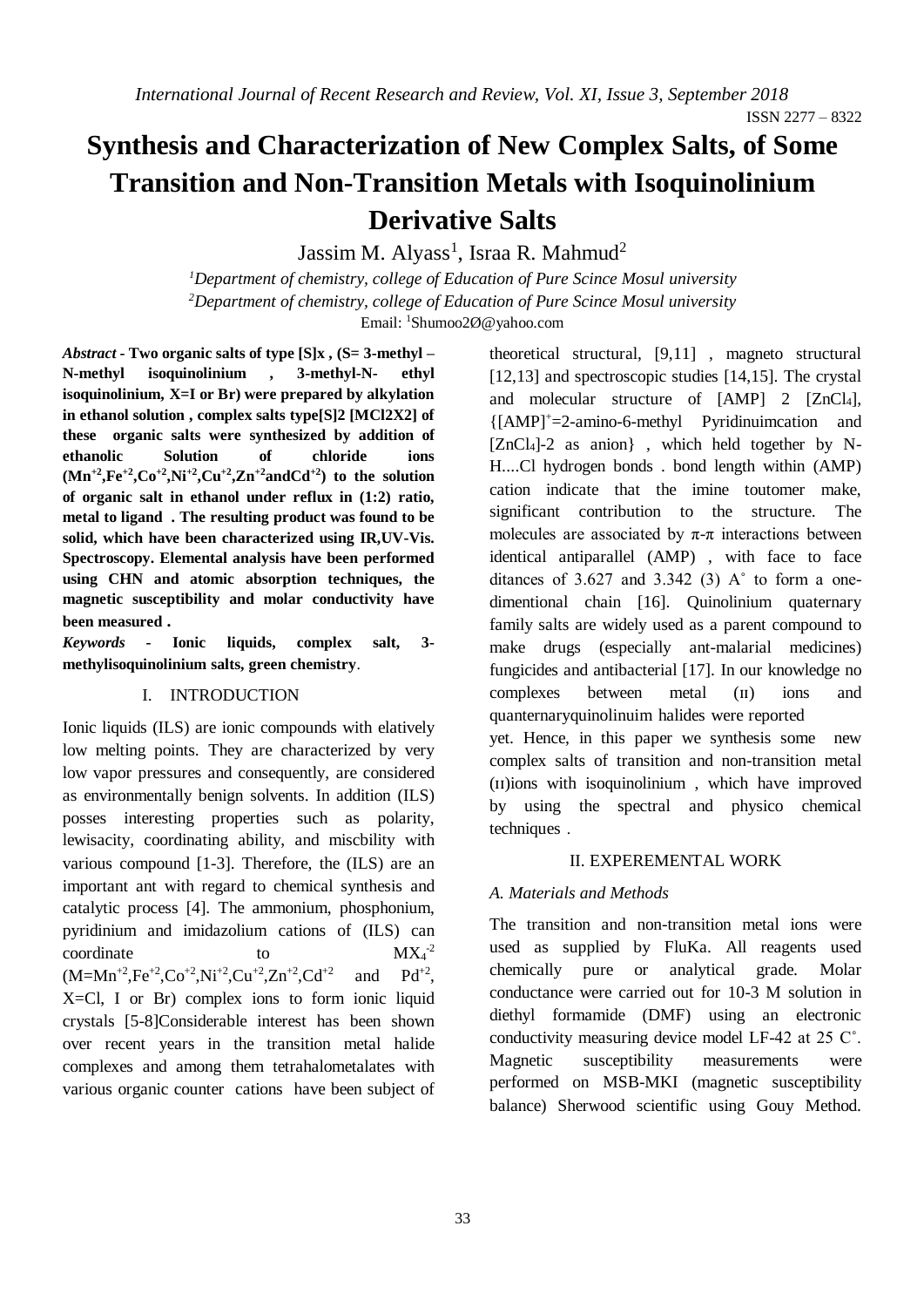# **Synthesis and Characterization of New Complex Salts, of Some Transition and Non-Transition Metals with Isoquinolinium Derivative Salts**

Jassim M. Alyass<sup>1</sup>, Israa R. Mahmud<sup>2</sup>

*Department of chemistry, college of Education of Pure Scince Mosul university <sup>1</sup> Department of chemistry, college of Education of Pure Scince Mosul university <sup>2</sup>* Email: <sup>1</sup>Shumoo2Ø@yahoo.com

*Abstract* **- Two organic salts of type [S]x , (S= 3-methyl – N-methyl isoquinolinium , 3-methyl-N- ethyl isoquinolinium, X=I or Br) were prepared by alkylation in ethanol solution , complex salts type[S]2 [MCl2X2] of these organic salts were synthesized by addition of ethanolic Solution of chloride ions**   $(Mn^{+2}, Fe^{+2}, Co^{+2}, Ni^{+2}, Cu^{+2}, Zn^{+2} \text{ and } Cd^{+2})$  to the solution **of organic salt in ethanol under reflux in (1:2) ratio, metal to ligand . The resulting product was found to be solid, which have been characterized using IR,UV-Vis. Spectroscopy. Elemental analysis have been performed using CHN and atomic absorption techniques, the magnetic susceptibility and molar conductivity have been measured .**

*Keywords* **- Ionic liquids, complex salt, 3 methylisoquinolinium salts, green chemistry**.

I. INTRODUCTION

Ionic liquids (ILS) are ionic compounds with elatively low melting points. They are characterized by very low vapor pressures and consequently, are considered as environmentally benign solvents. In addition (ILS) posses interesting properties such as polarity, lewisacity, coordinating ability, and miscbility with various compound [1-3]. Therefore, the (ILS) are an important ant with regard to chemical synthesis and catalytic process [4]. The ammonium, phosphonium, pyridinium and imidazolium cations of (ILS) can coordinate to to  $MX_4^{-2}$  $(M=Mn^{+2}Fe^{+2}CO^{+2}Ni^{+2}CO^{+2}Kn^{+2}CO^{+2}$ and  $Pd^{+2}$ . X=Cl, I or Br) complex ions to form ionic liquid crystals [5-8]Considerable interest has been shown over recent years in the transition metal halide complexes and among them tetrahalometalates with various organic counter cations have been subject of theoretical structural, [9,11] , magneto structural [12,13] and spectroscopic studies [14,15]. The crystal and molecular structure of [AMP] 2 [ZnCl<sub>4</sub>], {[AMP]<sup>+</sup>=2-amino-6-methyl Pyridinuimcation and  $[ZnCl<sub>4</sub>]$ -2 as anion}, which held together by N-H....Cl hydrogen bonds . bond length within (AMP) cation indicate that the imine toutomer make, significant contribution to the structure. The molecules are associated by  $\pi$ - $\pi$  interactions between identical antiparallel (AMP) , with face to face ditances of  $3.627$  and  $3.342$  (3) A $\degree$  to form a onedimentional chain [16]. Quinolinium quaternary family salts are widely used as a parent compound to make drugs (especially ant-malarial medicines) fungicides and antibacterial [17]. In our knowledge no complexes between metal (ɪɪ) ions and quanternaryquinolinuim halides were reported yet. Hence, in this paper we synthesis some new complex salts of transition and non-transition metal (ɪɪ)ions with isoquinolinium , which have improved by using the spectral and physico chemical techniques .

#### II. EXPEREMENTAL WORK

## *A. Materials and Methods*

The transition and non-transition metal ions were used as supplied by FluKa. All reagents used chemically pure or analytical grade. Molar conductance were carried out for 10-3 M solution in diethyl formamide (DMF) using an electronic conductivity measuring device model LF-42 at 25 C˚. Magnetic susceptibility measurements were performed on MSB-MKI (magnetic susceptibility balance) Sherwood scientific using Gouy Method.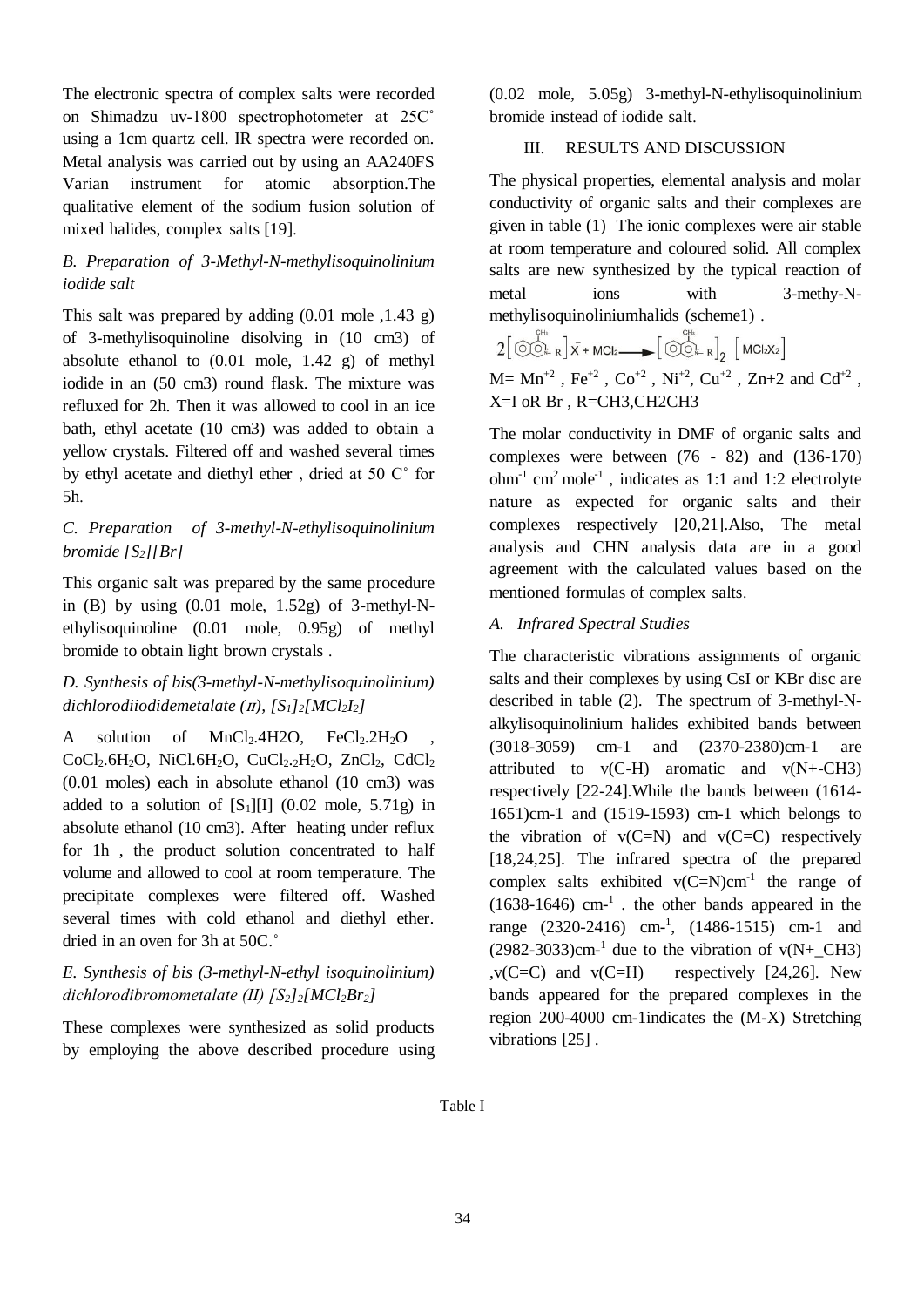The electronic spectra of complex salts were recorded on Shimadzu uv-1800 spectrophotometer at 25C˚ using a 1cm quartz cell. IR spectra were recorded on. Metal analysis was carried out by using an AA240FS Varian instrument for atomic absorption.The qualitative element of the sodium fusion solution of mixed halides, complex salts [19].

## *B. Preparation of 3-Methyl-N-methylisoquinolinium iodide salt*

This salt was prepared by adding  $(0.01 \text{ mole } 1.43 \text{ g})$ of 3-methylisoquinoline disolving in (10 cm3) of absolute ethanol to (0.01 mole, 1.42 g) of methyl iodide in an (50 cm3) round flask. The mixture was refluxed for 2h. Then it was allowed to cool in an ice bath, ethyl acetate (10 cm3) was added to obtain a yellow crystals. Filtered off and washed several times by ethyl acetate and diethyl ether , dried at 50 C˚ for 5h.

## *C. Preparation of 3-methyl-N-ethylisoquinolinium bromide [S2][Br]*

This organic salt was prepared by the same procedure in  $(B)$  by using  $(0.01 \text{ mole}, 1.52g)$  of 3-methyl-Nethylisoquinoline (0.01 mole, 0.95g) of methyl bromide to obtain light brown crystals .

# *D. Synthesis of bis(3-methyl-N-methylisoquinolinium) dichlorodiiodidemetalate (*ɪɪ*), [S1]2[MCl2I2]*

A solution of  $MnCl<sub>2</sub>$ .4H2O, FeCl<sub>2</sub>.2H<sub>2</sub>O  $CoCl<sub>2</sub>.6H<sub>2</sub>O$ , NiCl.6H<sub>2</sub>O, CuCl<sub>2</sub>.2H<sub>2</sub>O, ZnCl<sub>2</sub>, CdCl<sub>2</sub> (0.01 moles) each in absolute ethanol (10 cm3) was added to a solution of  $[S_1][1]$  (0.02 mole, 5.71g) in absolute ethanol (10 cm3). After heating under reflux for 1h , the product solution concentrated to half volume and allowed to cool at room temperature. The precipitate complexes were filtered off. Washed several times with cold ethanol and diethyl ether. dried in an oven for 3h at 50C.˚

## *E. Synthesis of bis (3-methyl-N-ethyl isoquinolinium) dichlorodibromometalate (ΙΙ) [S2]2[MCl2Br2]*

These complexes were synthesized as solid products by employing the above described procedure using (0.02 mole, 5.05g) 3-methyl-N-ethylisoquinolinium bromide instead of iodide salt.

## III. RESULTS AND DISCUSSION

The physical properties, elemental analysis and molar conductivity of organic salts and their complexes are given in table (1) The ionic complexes were air stable at room temperature and coloured solid. All complex salts are new synthesized by the typical reaction of metal ions with 3-methy-Nmethylisoquinoliniumhalids (scheme1) .

$$
2\left[\begin{array}{c}\bigodot^{\mathcal{C}^{th}}_{\mathcal{C}^{th}}\\2\left[\begin{array}{c}\bigodot^{\mathcal{C}^{th}}_{\mathcal{C}^{th}}\right]\bar{x} + \text{MCl}_{2}\longrightarrow\end{array}\right]\left[\begin{array}{c}\bigodot^{\mathcal{C}^{th}}_{\mathcal{C}^{th}}\\R\end{array}\right]_{2}\left[\begin{array}{c}\text{MCl}_{2}X_{2}\end{array}\right]
$$
  

$$
M = Mn^{+2}, \text{Fe}^{+2}, \text{Co}^{+2}, \text{Ni}^{+2}, \text{Cu}^{+2}, \text{Zn+2} \text{ and } \text{Cd}^{+2}
$$

,

X=I oR Br , R=CH3,CH2CH3

The molar conductivity in DMF of organic salts and complexes were between (76 - 82) and (136-170) ohm-1 cm<sup>2</sup> mole-1 , indicates as 1:1 and 1:2 electrolyte nature as expected for organic salts and their complexes respectively [20,21].Also, The metal analysis and CHN analysis data are in a good agreement with the calculated values based on the mentioned formulas of complex salts.

## *A. Infrared Spectral Studies*

The characteristic vibrations assignments of organic salts and their complexes by using CsI or KBr disc are described in table (2). The spectrum of 3-methyl-Nalkylisoquinolinium halides exhibited bands between (3018-3059) cm-1 and (2370-2380)cm-1 are attributed to  $v(C-H)$  aromatic and  $v(N+CH3)$ respectively [22-24].While the bands between (1614- 1651)cm-1 and (1519-1593) cm-1 which belongs to the vibration of  $v(C=N)$  and  $v(C=C)$  respectively [18,24,25]. The infrared spectra of the prepared complex salts exhibited  $v(C=N)cm^{-1}$  the range of  $(1638-1646)$  cm<sup>-1</sup>. the other bands appeared in the range (2320-2416) cm-1 , (1486-1515) cm-1 and  $(2982-3033)$ cm<sup>-1</sup> due to the vibration of v(N+\_CH3)  $v(C=C)$  and  $v(C=H)$  respectively [24,26]. New bands appeared for the prepared complexes in the region 200-4000 cm-1indicates the (M-X) Stretching vibrations [25].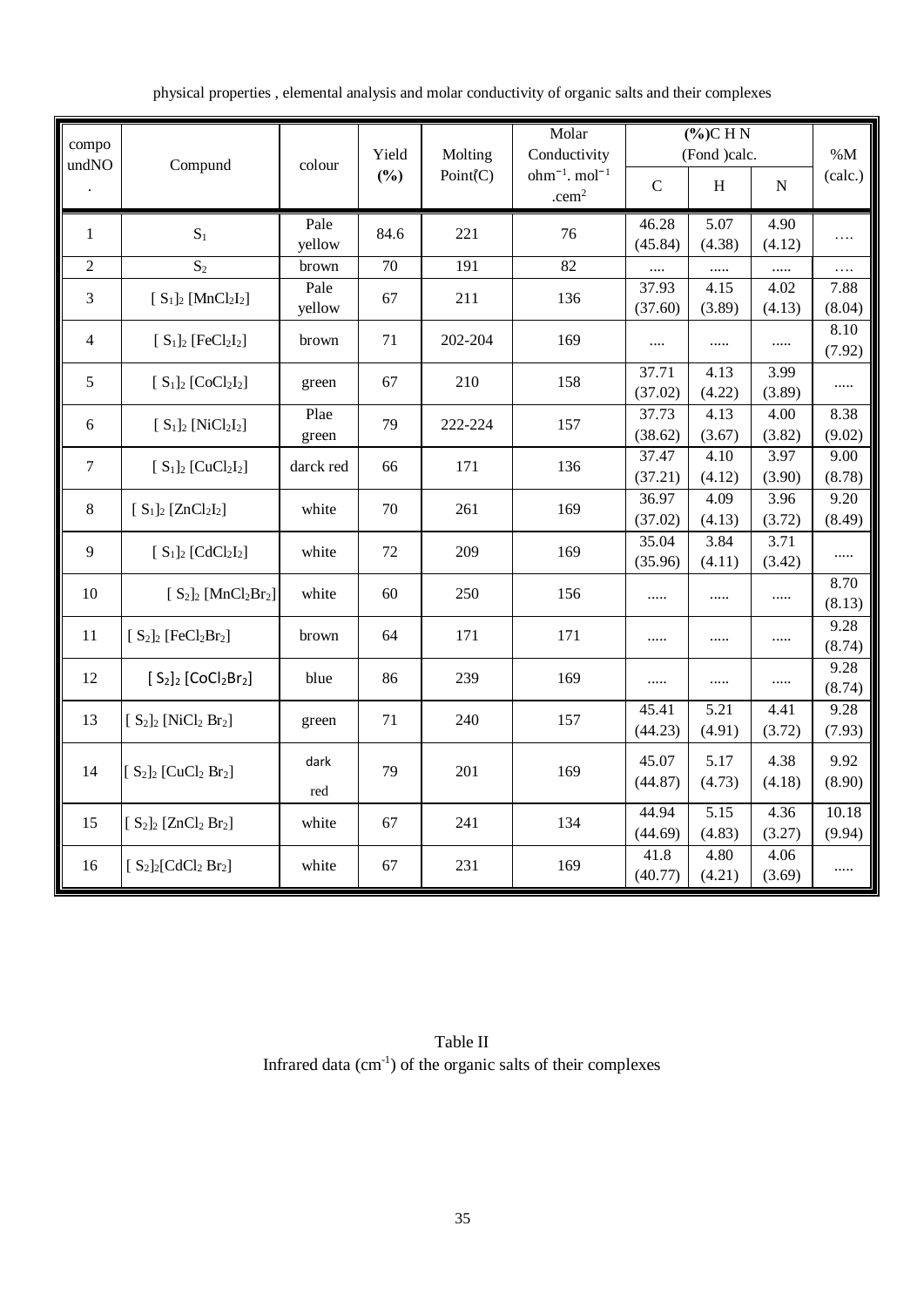|  | physical properties, elemental analysis and molar conductivity of organic salts and their complexes |  |  |  |
|--|-----------------------------------------------------------------------------------------------------|--|--|--|
|  |                                                                                                     |  |  |  |

| compo          |                                                |                 | Yield | Molting  | Molar<br>Conductivity                         | $(\%)$ CHN<br>(Fond )calc. |                |                | $\% M$    |
|----------------|------------------------------------------------|-----------------|-------|----------|-----------------------------------------------|----------------------------|----------------|----------------|-----------|
| undNO          | Compund                                        | colour          | (%)   | Point(C) | $ohm^{-1}$ . mol <sup>-1</sup><br>$.$ cem $2$ | $\mathbf C$                | H              | N              | (calc.)   |
| $\mathbf{1}$   | $S_1$                                          | Pale            | 84.6  | 221      | 76                                            | 46.28                      | 5.07           | 4.90           | .         |
| $\overline{2}$ | $S_2$                                          | yellow<br>brown | 70    | 191      | $\overline{82}$                               | (45.84)                    | (4.38)         | (4.12)         |           |
|                |                                                | Pale            |       |          |                                               | <br>37.93                  | <br>4.15       | <br>4.02       | .<br>7.88 |
| 3              | $[S_1]_2$ [MnCl <sub>2</sub> I <sub>2</sub> ]  | yellow          | 67    | 211      | 136                                           | (37.60)                    | (3.89)         | (4.13)         | (8.04)    |
| 4              | $[S_1]_2$ [FeCl <sub>2</sub> I <sub>2</sub> ]  | brown           | 71    | 202-204  | 169                                           | $\cdots$                   |                |                | 8.10      |
|                |                                                |                 |       |          |                                               |                            |                |                | (7.92)    |
| 5              | $[S_1]_2$ [CoCl <sub>2</sub> I <sub>2</sub> ]  | green           | 67    | 210      | 158                                           | 37.71                      | 4.13           | 3.99           | .         |
|                |                                                |                 |       |          |                                               | (37.02)                    | (4.22)         | (3.89)         |           |
| 6              | $[S_1]_2$ [NiCl <sub>2</sub> I <sub>2</sub> ]  | Plae            | 79    | 222-224  | 157                                           | 37.73                      | 4.13           | 4.00           | 8.38      |
|                |                                                | green           |       |          |                                               | (38.62)                    | (3.67)         | (3.82)         | (9.02)    |
| $\tau$         | $[S_1]_2$ [CuCl <sub>2</sub> I <sub>2</sub> ]  | darck red       | 66    | 171      | 136                                           | 37.47                      | 4.10           | 3.97           | 9.00      |
|                |                                                |                 |       |          |                                               | (37.21)                    | (4.12)         | (3.90)         | (8.78)    |
| 8              | $[S_1]_2$ [ZnCl <sub>2</sub> I <sub>2</sub> ]  | white           | 70    | 261      | 169                                           | 36.97                      | 4.09           | 3.96           | 9.20      |
|                |                                                |                 |       |          |                                               | (37.02)                    | (4.13)         | (3.72)         | (8.49)    |
| 9              | $[S_1]_2$ [CdCl <sub>2</sub> I <sub>2</sub> ]  | white           | 72    | 209      | 169                                           | 35.04<br>(35.96)           | 3.84<br>(4.11) | 3.71<br>(3.42) |           |
|                |                                                |                 |       |          |                                               |                            |                |                | 8.70      |
| 10             | $[S_2]_2$ [MnCl <sub>2</sub> Br <sub>2</sub> ] | white           | 60    | 250      | 156                                           |                            |                |                | (8.13)    |
| 11             |                                                | brown           | 64    | 171      | 171                                           |                            |                |                | 9.28      |
|                | $[S_2]_2$ [FeCl <sub>2</sub> Br <sub>2</sub> ] |                 |       |          |                                               | .                          |                |                | (8.74)    |
| 12             | $[S_2]_2$ [CoCl <sub>2</sub> Br <sub>2</sub> ] | blue            | 86    | 239      | 169                                           |                            |                |                | 9.28      |
|                |                                                |                 |       |          |                                               |                            |                |                | (8.74)    |
| 13             | $[S_2]_2$ [NiCl <sub>2</sub> Br <sub>2</sub> ] | green           | 71    | 240      | 157                                           | 45.41                      | 5.21           | 4.41           | 9.28      |
|                |                                                |                 |       |          |                                               | (44.23)                    | (4.91)         | (3.72)         | (7.93)    |
|                |                                                | dark            |       |          |                                               | 45.07                      | 5.17           | 4.38           | 9.92      |
| 14             | $[S_2]_2$ [CuCl <sub>2</sub> Br <sub>2</sub> ] |                 | 79    | 201      | 169                                           | (44.87)                    | (4.73)         | (4.18)         | (8.90)    |
|                |                                                | red             |       |          |                                               | 44.94                      | 5.15           | 4.36           | 10.18     |
| 15             | $[S_2]_2$ [ZnCl <sub>2</sub> Br <sub>2</sub> ] | white           | 67    | 241      | 134                                           | (44.69)                    | (4.83)         | (3.27)         | (9.94)    |
|                |                                                |                 |       |          |                                               | 41.8                       | 4.80           | 4.06           |           |
| 16             | $[S_2]_2[CdCl_2 Br_2]$                         | white           | 67    | 231      | 169                                           | (40.77)                    | (4.21)         | (3.69)         | .         |

Table II Infrared data  $(cm<sup>-1</sup>)$  of the organic salts of their complexes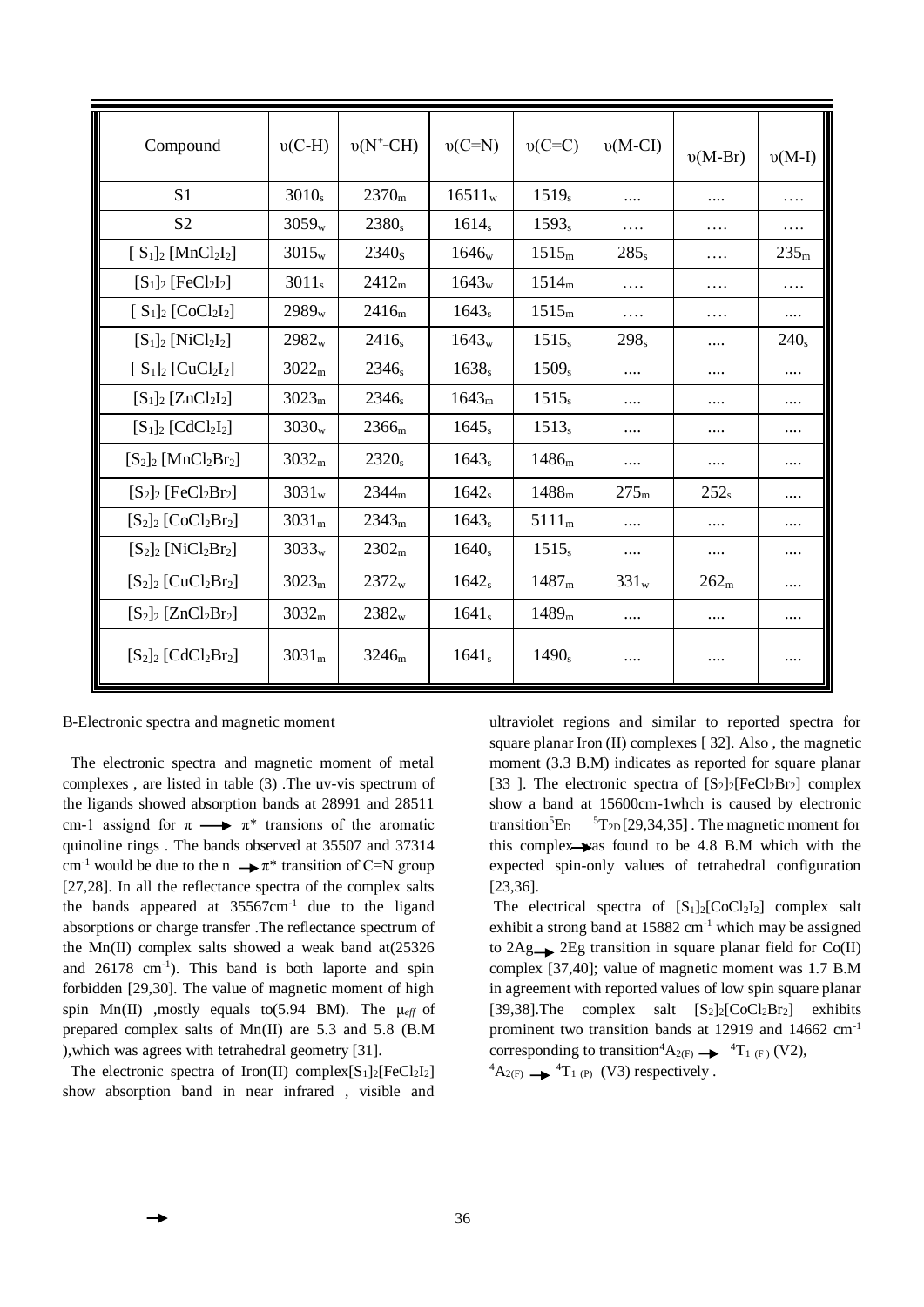| Compound                                       | $v(C-H)$          | $v(N^{\text{+}}\text{-CH})$ | $v(C=N)$          | $v(C=C)$          | $v(M-CI)$        | $v(M-Br)$        | $v(M-I)$         |
|------------------------------------------------|-------------------|-----------------------------|-------------------|-------------------|------------------|------------------|------------------|
| S <sub>1</sub>                                 | $3010_s$          | 2370 <sub>m</sub>           | $16511_{w}$       | $1519_s$          |                  |                  | .                |
| S <sub>2</sub>                                 | $3059_{w}$        | $2380_s$                    | $1614_s$          | $1593_s$          | .                | .                | .                |
| $[S_1]_2$ [MnCl <sub>2</sub> I <sub>2</sub> ]  | $3015_{w}$        | 2340 <sub>s</sub>           | 1646 <sub>w</sub> | 1515 <sub>m</sub> | $285_s$          | .                | 235 <sub>m</sub> |
| $[S_1]_2$ [FeCl <sub>2</sub> I <sub>2</sub> ]  | $3011_s$          | 2412 <sub>m</sub>           | $1643_{w}$        | 1514 <sub>m</sub> | .                | .                | .                |
| $[S_1]_2$ [CoCl <sub>2</sub> I <sub>2</sub> ]  | $2989_{w}$        | 2416 <sub>m</sub>           | $1643_s$          | 1515 <sub>m</sub> | .                | .                |                  |
| $[S_1]_2$ [NiCl <sub>2</sub> I <sub>2</sub> ]  | $2982_{w}$        | $2416_s$                    | $1643_{w}$        | $1515_s$          | $298_s$          |                  | $240_s$          |
| $[S_1]_2$ [CuCl <sub>2</sub> I <sub>2</sub> ]  | 3022 <sub>m</sub> | $2346_s$                    | $1638_s$          | 1509 <sub>s</sub> | $\cdots$         | .                | .                |
| $[S_1]_2$ [ZnCl <sub>2</sub> I <sub>2</sub> ]  | 3023 <sub>m</sub> | $2346_s$                    | 1643 <sub>m</sub> | $1515_s$          | .                |                  | $\cdots$         |
| $[S_1]_2$ [CdCl <sub>2</sub> I <sub>2</sub> ]  | $3030_{w}$        | 2366 <sub>m</sub>           | $1645_s$          | $1513_s$          |                  |                  |                  |
| $[S_2]_2$ [MnCl <sub>2</sub> Br <sub>2</sub> ] | 3032 <sub>m</sub> | $2320_s$                    | $1643_s$          | 1486 <sub>m</sub> |                  |                  |                  |
| $[S_2]_2$ [FeCl <sub>2</sub> Br <sub>2</sub> ] | $3031_{w}$        | 2344 <sub>m</sub>           | $1642_s$          | 1488 <sub>m</sub> | 275 <sub>m</sub> | $252_s$          |                  |
| $[S_2]_2$ [CoCl <sub>2</sub> Br <sub>2</sub> ] | 3031 <sub>m</sub> | 2343 <sub>m</sub>           | $1643_s$          | 5111 <sub>m</sub> | .                |                  |                  |
| $[S_2]_2$ [NiCl <sub>2</sub> Br <sub>2</sub> ] | $3033_{w}$        | 2302 <sub>m</sub>           | $1640_s$          | $1515_s$          |                  | .                |                  |
| $[S_2]_2$ [CuCl <sub>2</sub> Br <sub>2</sub> ] | 3023 <sub>m</sub> | 2372 <sub>w</sub>           | $1642_s$          | 1487 <sub>m</sub> | $331_w$          | 262 <sub>m</sub> | .                |
| $[S_2]_2$ [ZnCl <sub>2</sub> Br <sub>2</sub> ] | 3032 <sub>m</sub> | $2382_{w}$                  | $1641_s$          | 1489 <sub>m</sub> |                  |                  |                  |
| $[S_2]_2$ [CdCl <sub>2</sub> Br <sub>2</sub> ] | 3031 <sub>m</sub> | 3246 <sub>m</sub>           | $1641_s$          | $1490_s$          |                  | .                | .                |

B-Electronic spectra and magnetic moment

 The electronic spectra and magnetic moment of metal complexes , are listed in table (3) .The uv-vis spectrum of the ligands showed absorption bands at 28991 and 28511 cm-1 assignd for  $\pi \longrightarrow \pi^*$  transions of the aromatic quinoline rings . The bands observed at 35507 and 37314 cm<sup>-1</sup> would be due to the n  $\rightarrow \pi^*$  transition of C=N group [27,28]. In all the reflectance spectra of the complex salts the bands appeared at 35567cm-1 due to the ligand absorptions or charge transfer .The reflectance spectrum of the Mn(II) complex salts showed a weak band at(25326 and 26178 cm<sup>-1</sup>). This band is both laporte and spin forbidden [29,30]. The value of magnetic moment of high spin Mn(II) ,mostly equals to(5.94 BM). The μ*eff* of prepared complex salts of Mn(II) are 5.3 and 5.8 (B.M ),which was agrees with tetrahedral geometry [31].

The electronic spectra of Iron(II) complex $[S_1]_2$ [FeCl<sub>2</sub>I<sub>2</sub>] show absorption band in near infrared , visible and ultraviolet regions and similar to reported spectra for square planar Iron (II) complexes [32]. Also, the magnetic moment (3.3 B.M) indicates as reported for square planar [33]. The electronic spectra of  $[S_2]_2[FeCl_2Br_2]$  complex show a band at 15600cm-1whch is caused by electronic transition ${}^5E_D$  ${}^{5}T_{2D}$  [29,34,35]. The magnetic moment for this complex-was found to be  $4.8$  B.M which with the expected spin-only values of tetrahedral configuration [23,36].

The electrical spectra of  $[S_1]_2$ [CoCl<sub>2</sub>I<sub>2</sub>] complex salt exhibit a strong band at  $15882 \text{ cm}^{-1}$  which may be assigned to  $2Ag \rightarrow 2Eg$  transition in square planar field for Co(II) complex [37,40]; value of magnetic moment was 1.7 B.M in agreement with reported values of low spin square planar [39,38].The complex salt  $[S_2]_2$ [CoCl<sub>2</sub>Br<sub>2</sub>] exhibits prominent two transition bands at 12919 and 14662 cm-1 corresponding to transition<sup>4</sup> $A_{2(F)} \rightarrow$ <sup>4</sup>T<sub>1 (F)</sub> (V2),  ${}^4A_{2(F)} \longrightarrow {}^4T_{1(P)}$  (V3) respectively.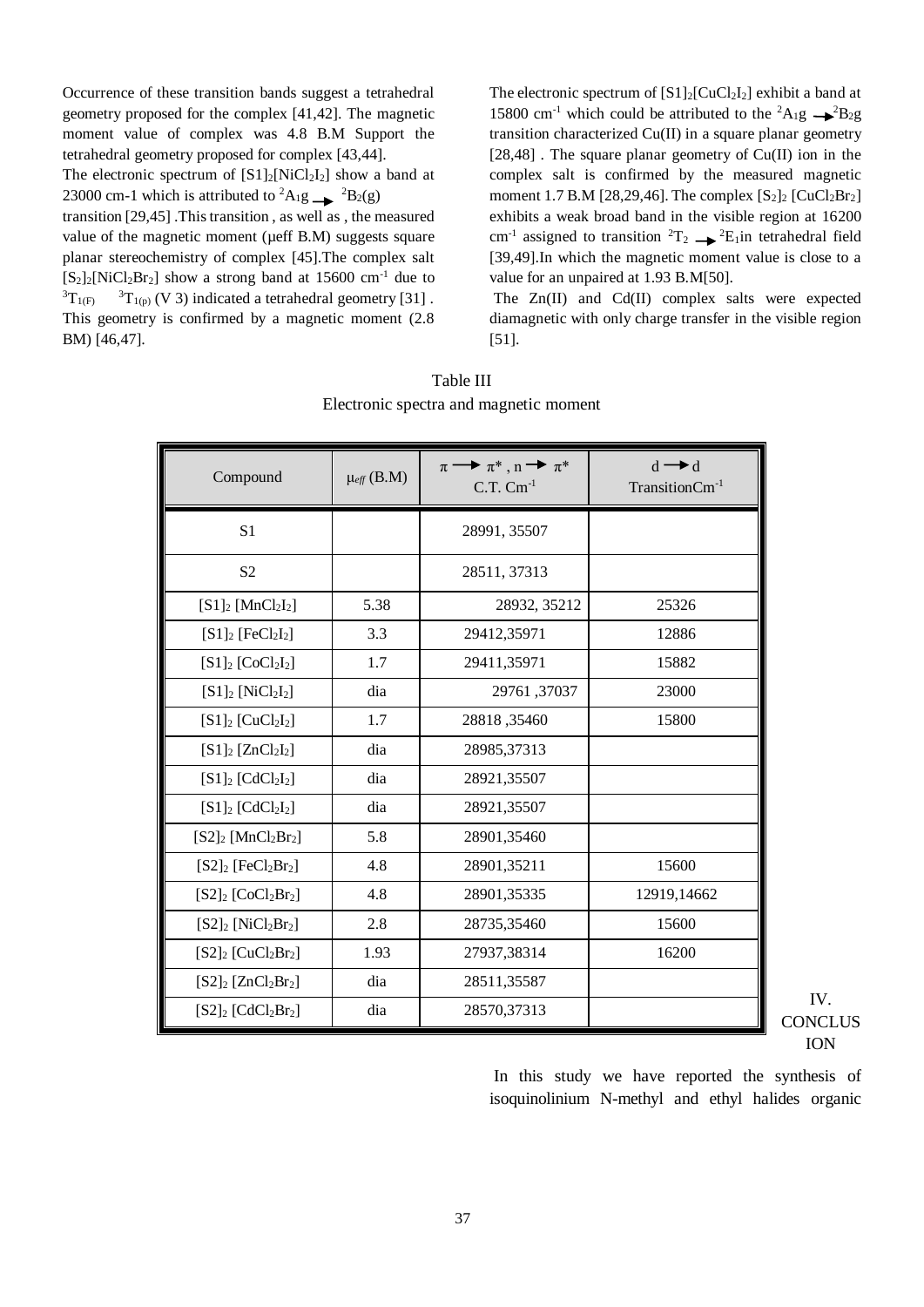Occurrence of these transition bands suggest a tetrahedral geometry proposed for the complex [41,42]. The magnetic moment value of complex was 4.8 B.M Support the tetrahedral geometry proposed for complex [43,44].

The electronic spectrum of  $[S1]_2[NiCl_2I_2]$  show a band at 23000 cm-1 which is attributed to <sup>2</sup>A<sub>1</sub>g  $\rightarrow$  <sup>2</sup>B<sub>2</sub>(g) transition [29,45] .This transition , as well as , the measured

value of the magnetic moment ( $\mu$ eff B.M) suggests square planar stereochemistry of complex [45].The complex salt  $[S_2]_2[NiCl_2Br_2]$  show a strong band at 15600 cm<sup>-1</sup> due to  ${}^{3}T_{1(F)}$  ${}^{3}T_{1(p)}$  (V 3) indicated a tetrahedral geometry [31]. This geometry is confirmed by a magnetic moment (2.8 BM) [46,47].

The electronic spectrum of  $[S1]_2$ [CuCl<sub>2</sub>I<sub>2</sub>] exhibit a band at 15800 cm<sup>-1</sup> which could be attributed to the <sup>2</sup>A<sub>1</sub>g  $\rightarrow$ <sup>2</sup>B<sub>2</sub>g transition characterized Cu(II) in a square planar geometry [28,48]. The square planar geometry of Cu(II) ion in the complex salt is confirmed by the measured magnetic moment 1.7 B.M [28,29,46]. The complex  $[S_2]_2$  [CuCl<sub>2</sub>Br<sub>2</sub>] exhibits a weak broad band in the visible region at 16200 cm<sup>-1</sup> assigned to transition <sup>2</sup>T<sub>2</sub>  $\rightarrow$  <sup>2</sup>E<sub>1</sub>in tetrahedral field [39,49].In which the magnetic moment value is close to a value for an unpaired at 1.93 B.M[50].

The Zn(II) and Cd(II) complex salts were expected diamagnetic with only charge transfer in the visible region [51].

| Table III                              |  |
|----------------------------------------|--|
| Electronic spectra and magnetic moment |  |
|                                        |  |

| Compound                                      | $\mu_{\text{eff}}$ (B.M) | $\pi \rightarrow \pi^*$ , $n \rightarrow \pi^*$<br>$C.T.$ $Cm^{-1}$ | $d \rightarrow d$<br>TransitionCm <sup>-1</sup> |
|-----------------------------------------------|--------------------------|---------------------------------------------------------------------|-------------------------------------------------|
| S <sub>1</sub>                                |                          | 28991, 35507                                                        |                                                 |
| S <sub>2</sub>                                |                          | 28511, 37313                                                        |                                                 |
| $[S1]_2$ [MnCl <sub>2</sub> I <sub>2</sub> ]  | 5.38                     | 28932, 35212                                                        | 25326                                           |
| $[S1]_2$ [FeCl <sub>2</sub> I <sub>2</sub> ]  | 3.3                      | 29412,35971                                                         | 12886                                           |
| $[S1]_2$ [CoCl <sub>2</sub> I <sub>2</sub> ]  | 1.7                      | 29411,35971                                                         | 15882                                           |
| $[S1]_2$ [NiCl <sub>2</sub> I <sub>2</sub> ]  | dia                      | 29761,37037                                                         | 23000                                           |
| $[S1]_2$ [CuCl <sub>2</sub> I <sub>2</sub> ]  | 1.7                      | 28818, 35460                                                        | 15800                                           |
| $[S1]_2$ [ZnCl <sub>2</sub> I <sub>2</sub> ]  | dia                      | 28985,37313                                                         |                                                 |
| $[S1]_2$ [CdCl <sub>2</sub> I <sub>2</sub> ]  | dia                      | 28921,35507                                                         |                                                 |
| $[S1]_2$ [CdCl <sub>2</sub> I <sub>2</sub> ]  | dia                      | 28921,35507                                                         |                                                 |
| $[S2]_2$ [MnCl <sub>2</sub> Br <sub>2</sub> ] | 5.8                      | 28901,35460                                                         |                                                 |
| $[S2]_2$ [FeCl <sub>2</sub> Br <sub>2</sub> ] | 4.8                      | 28901,35211                                                         | 15600                                           |
| $[S2]_2$ [CoCl <sub>2</sub> Br <sub>2</sub> ] | 4.8                      | 28901,35335                                                         | 12919,14662                                     |
| $[S2]_2$ [NiCl <sub>2</sub> Br <sub>2</sub> ] | 2.8                      | 28735,35460                                                         | 15600                                           |
| $[S2]_2$ [CuCl <sub>2</sub> Br <sub>2</sub> ] | 1.93                     | 27937,38314                                                         | 16200                                           |
| $[S2]_2$ [ZnCl <sub>2</sub> Br <sub>2</sub> ] | dia                      | 28511,35587                                                         |                                                 |
| $[S2]_2$ [CdCl <sub>2</sub> Br <sub>2</sub> ] | dia                      | 28570,37313                                                         |                                                 |

IV. **CONCLUS** ION

In this study we have reported the synthesis of isoquinolinium N-methyl and ethyl halides organic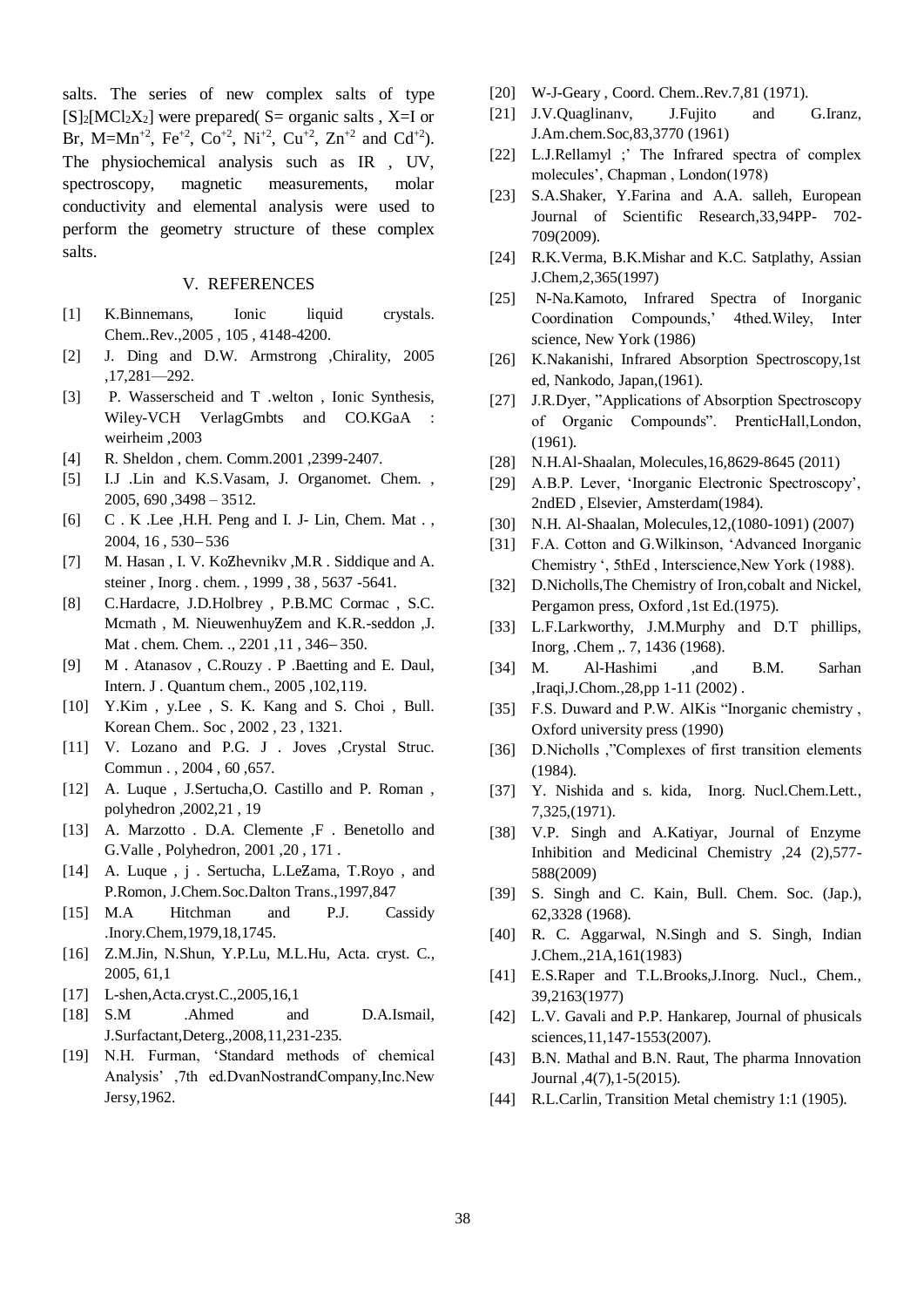salts. The series of new complex salts of type  $[S]_2[MC_2X_2]$  were prepared( S= organic salts , X=I or Br, M=Mn<sup>+2</sup>, Fe<sup>+2</sup>, Co<sup>+2</sup>, Ni<sup>+2</sup>, Cu<sup>+2</sup>, Zn<sup>+2</sup> and Cd<sup>+2</sup>). The physiochemical analysis such as IR , UV, spectroscopy, magnetic measurements, molar conductivity and elemental analysis were used to perform the geometry structure of these complex salts.

#### V. REFERENCES

- [1] K.Binnemans, Ionic liquid crystals. Chem..Rev.,2005 , 105 , 4148-4200.
- [2] J. Ding and D.W. Armstrong ,Chirality, 2005 ,17,281—292.
- [3] P. Wasserscheid and T .welton , Ionic Synthesis, Wiley-VCH VerlagGmbts and CO.KGaA weirheim ,2003
- [4] R. Sheldon , chem. Comm.2001 ,2399-2407.
- [5] I.J .Lin and K.S.Vasam, J. Organomet. Chem. , 2005, 690 ,3498 – 3512.
- [6] C . K .Lee ,H.H. Peng and I. J- Lin, Chem. Mat . ,  $2004, 16, 530 - 536$
- [7] M. Hasan , I. V. KoƵhevnikv ,M.R . Siddique and A. steiner , Inorg . chem. , 1999 , 38 , 5637 -5641.
- [8] C.Hardacre, J.D.Holbrey , P.B.MC Cormac , S.C. Mcmath, M. NieuwenhuyZem and K.R.-seddon ,J. Mat . chem. Chem. ., 2201, 11, 346-350.
- [9] M . Atanasov , C.Rouzy . P .Baetting and E. Daul, Intern. J . Quantum chem., 2005 ,102,119.
- [10] Y.Kim , y.Lee , S. K. Kang and S. Choi , Bull. Korean Chem.. Soc , 2002 , 23 , 1321.
- [11] V. Lozano and P.G. J . Joves , Crystal Struc. Commun . , 2004 , 60 ,657.
- [12] A. Luque , J.Sertucha,O. Castillo and P. Roman , polyhedron ,2002,21 , 19
- [13] A. Marzotto . D.A. Clemente ,F . Benetollo and G.Valle , Polyhedron, 2001 ,20 , 171 .
- [14] A. Luque, j. Sertucha, L.LeZama, T.Royo, and P.Romon, J.Chem.Soc.Dalton Trans.,1997,847
- [15] M.A Hitchman and P.J. Cassidy .Inory.Chem,1979,18,1745.
- [16] Z.M.Jin, N.Shun, Y.P.Lu, M.L.Hu, Acta. cryst. C., 2005, 61,1
- [17] L-shen, Acta.cryst.C., 2005, 16, 1
- [18] S.M .Ahmed and D.A.Ismail, J.Surfactant,Deterg.,2008,11,231-235.
- [19] N.H. Furman, 'Standard methods of chemical Analysis' ,7th ed.DvanNostrandCompany,Inc.New Jersy,1962.
- [20] W-J-Geary, Coord. Chem..Rev.7,81 (1971).
- [21] J.V.Quaglinany, J.Fujito and G.Iranz, J.Am.chem.Soc,83,3770 (1961)
- [22] L.J.Rellamyl ;' The Infrared spectra of complex molecules', Chapman , London(1978)
- [23] S.A.Shaker, Y.Farina and A.A. salleh, European Journal of Scientific Research,33,94PP- 702- 709(2009).
- [24] R.K.Verma, B.K.Mishar and K.C. Satplathy, Assian J.Chem,2,365(1997)
- [25] N-Na.Kamoto, Infrared Spectra of Inorganic Coordination Compounds,' 4thed.Wiley, Inter science, New York (1986)
- [26] K.Nakanishi, Infrared Absorption Spectroscopy,1st ed, Nankodo, Japan,(1961).
- [27] J.R.Dyer, "Applications of Absorption Spectroscopy" of Organic Compounds". PrenticHall,London, (1961).
- [28] N.H.Al-Shaalan, Molecules,16,8629-8645 (2011)
- [29] A.B.P. Lever, 'Inorganic Electronic Spectroscopy', 2ndED , Elsevier, Amsterdam(1984).
- [30] N.H. Al-Shaalan, Molecules,12,(1080-1091) (2007)
- [31] F.A. Cotton and G. Wilkinson, 'Advanced Inorganic Chemistry ', 5thEd , Interscience,New York (1988).
- [32] D.Nicholls,The Chemistry of Iron,cobalt and Nickel, Pergamon press, Oxford ,1st Ed.(1975).
- [33] L.F.Larkworthy, J.M.Murphy and D.T phillips, Inorg, .Chem ,. 7, 1436 (1968).
- [34] M. Al-Hashimi ,and B.M. Sarhan ,Iraqi,J.Chom.,28,pp 1-11 (2002) .
- [35] F.S. Duward and P.W. AlKis "Inorganic chemistry, Oxford university press (1990)
- [36] D.Nicholls ,"Complexes of first transition elements (1984).
- [37] Y. Nishida and s. kida, Inorg. Nucl.Chem.Lett., 7,325,(1971).
- [38] V.P. Singh and A.Katiyar, Journal of Enzyme Inhibition and Medicinal Chemistry ,24 (2),577- 588(2009)
- [39] S. Singh and C. Kain, Bull. Chem. Soc. (Jap.), 62,3328 (1968).
- [40] R. C. Aggarwal, N.Singh and S. Singh, Indian J.Chem.,21A,161(1983)
- [41] E.S.Raper and T.L.Brooks,J.Inorg. Nucl., Chem., 39,2163(1977)
- [42] L.V. Gavali and P.P. Hankarep, Journal of phusicals sciences,11,147-1553(2007).
- [43] B.N. Mathal and B.N. Raut, The pharma Innovation Journal ,4(7),1-5(2015).
- [44] R.L.Carlin, Transition Metal chemistry 1:1 (1905).